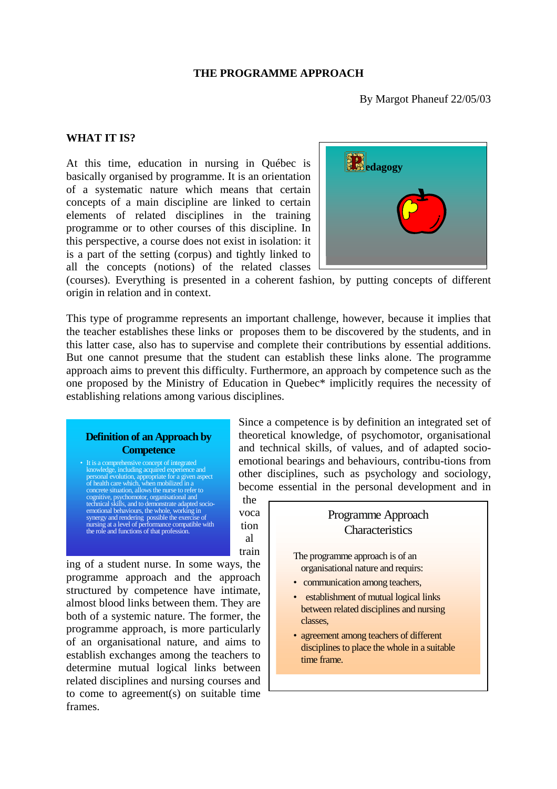#### **THE PROGRAMME APPROACH**

By Margot Phaneuf 22/05/03

#### **WHAT IT IS?**

At this time, education in nursing in Québec is basically organised by programme. It is an orientation of a systematic nature which means that certain concepts of a main discipline are linked to certain elements of related disciplines in the training programme or to other courses of this discipline. In this perspective, a course does not exist in isolation: it is a part of the setting (corpus) and tightly linked to all the concepts (notions) of the related classes



(courses). Everything is presented in a coherent fashion, by putting concepts of different origin in relation and in context.

This type of programme represents an important challenge, however, because it implies that the teacher establishes these links or proposes them to be discovered by the students, and in this latter case, also has to supervise and complete their contributions by essential additions. But one cannot presume that the student can establish these links alone. The programme approach aims to prevent this difficulty. Furthermore, an approach by competence such as the one proposed by the Ministry of Education in Quebec\* implicitly requires the necessity of establishing relations among various disciplines.

## **Definition of an Approach by Competence**

It is a comprehensive concept of integrated knowledge, including acquired experience and<br>personal evolution, approptiate for a given aspect<br>of health care which, when mobilized in a<br>concrete situation, allows the nurse to refer to<br>cognitive, psychomotor, organisatio synergy and rendering possible the exercise of nursing at a level of performance compatible with the role and functions of that profession.

Since a competence is by definition an integrated set of theoretical knowledge, of psychomotor, organisational and technical skills, of values, and of adapted socioemotional bearings and behaviours, contribu-tions from other disciplines, such as psychology and sociology, become essential in the personal development and in

the voca tion al train

ing of a student nurse. In some ways, the programme approach and the approach structured by competence have intimate, almost blood links between them. They are both of a systemic nature. The former, the programme approach, is more particularly of an organisational nature, and aims to establish exchanges among the teachers to determine mutual logical links between related disciplines and nursing courses and to come to agreement(s) on suitable time frames.

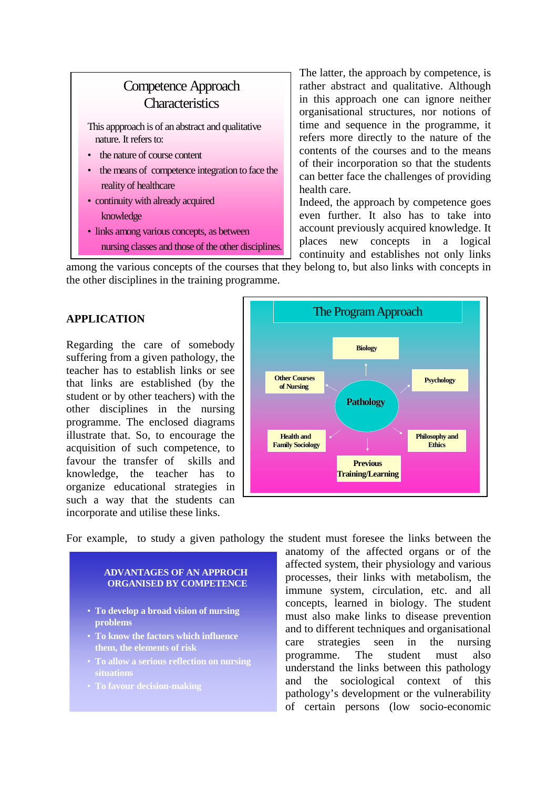# Competence Approach **Characteristics**

This appproach is of an abstract and qualitative nature. It refers to:

- the nature of course content
- the means of competence integration to face the reality of healthcare
- continuity with already acquired knowledge
- links among various concepts, as between nursing classes and those of the other disciplines.

The latter, the approach by competence, is rather abstract and qualitative. Although in this approach one can ignore neither organisational structures, nor notions of time and sequence in the programme, it refers more directly to the nature of the contents of the courses and to the means of their incorporation so that the students can better face the challenges of providing health care.

Indeed, the approach by competence goes even further. It also has to take into account previously acquired knowledge. It places new concepts in a logical continuity and establishes not only links

among the various concepts of the courses that they belong to, but also links with concepts in the other disciplines in the training programme.

# **APPLICATION**

Regarding the care of somebody suffering from a given pathology, the teacher has to establish links or see that links are established (by the student or by other teachers) with the other disciplines in the nursing programme. The enclosed diagrams illustrate that. So, to encourage the acquisition of such competence, to favour the transfer of skills and knowledge, the teacher has to organize educational strategies in such a way that the students can incorporate and utilise these links.



For example, to study a given pathology the student must foresee the links between the

### **ADVANTAGES OF AN APPROCH ORGANISED BY COMPETENCE**

- **To develop a broad vision of nursing problems**
- **To know the factors which influence them, the elements of risk**
- **To allow a serious reflection on nursing situations**
- **To favour decision-making**

anatomy of the affected organs or of the affected system, their physiology and various processes, their links with metabolism, the immune system, circulation, etc. and all concepts, learned in biology. The student must also make links to disease prevention and to different techniques and organisational care strategies seen in the nursing programme. The student must also understand the links between this pathology and the sociological context of this pathology's development or the vulnerability of certain persons (low socio-economic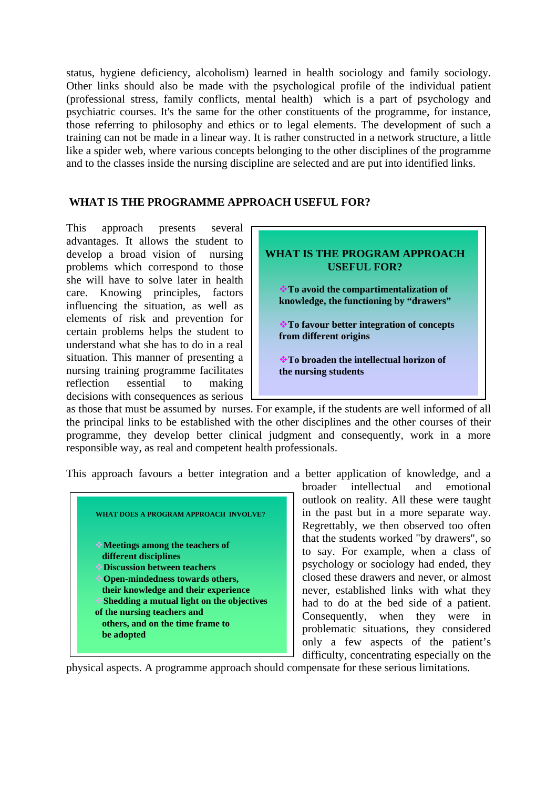status, hygiene deficiency, alcoholism) learned in health sociology and family sociology. Other links should also be made with the psychological profile of the individual patient (professional stress, family conflicts, mental health) which is a part of psychology and psychiatric courses. It's the same for the other constituents of the programme, for instance, those referring to philosophy and ethics or to legal elements. The development of such a training can not be made in a linear way. It is rather constructed in a network structure, a little like a spider web, where various concepts belonging to the other disciplines of the programme and to the classes inside the nursing discipline are selected and are put into identified links.

## **WHAT IS THE PROGRAMME APPROACH USEFUL FOR?**

This approach presents several advantages. It allows the student to develop a broad vision of nursing problems which correspond to those she will have to solve later in health care. Knowing principles, factors influencing the situation, as well as elements of risk and prevention for certain problems helps the student to understand what she has to do in a real situation. This manner of presenting a nursing training programme facilitates reflection essential to making decisions with consequences as serious



as those that must be assumed by nurses. For example, if the students are well informed of all the principal links to be established with the other disciplines and the other courses of their programme, they develop better clinical judgment and consequently, work in a more responsible way, as real and competent health professionals.

This approach favours a better integration and a better application of knowledge, and a



broader intellectual and emotional outlook on reality. All these were taught in the past but in a more separate way. Regrettably, we then observed too often that the students worked "by drawers", so to say. For example, when a class of psychology or sociology had ended, they closed these drawers and never, or almost never, established links with what they had to do at the bed side of a patient. Consequently, when they were in problematic situations, they considered only a few aspects of the patient's difficulty, concentrating especially on the

physical aspects. A programme approach should compensate for these serious limitations.